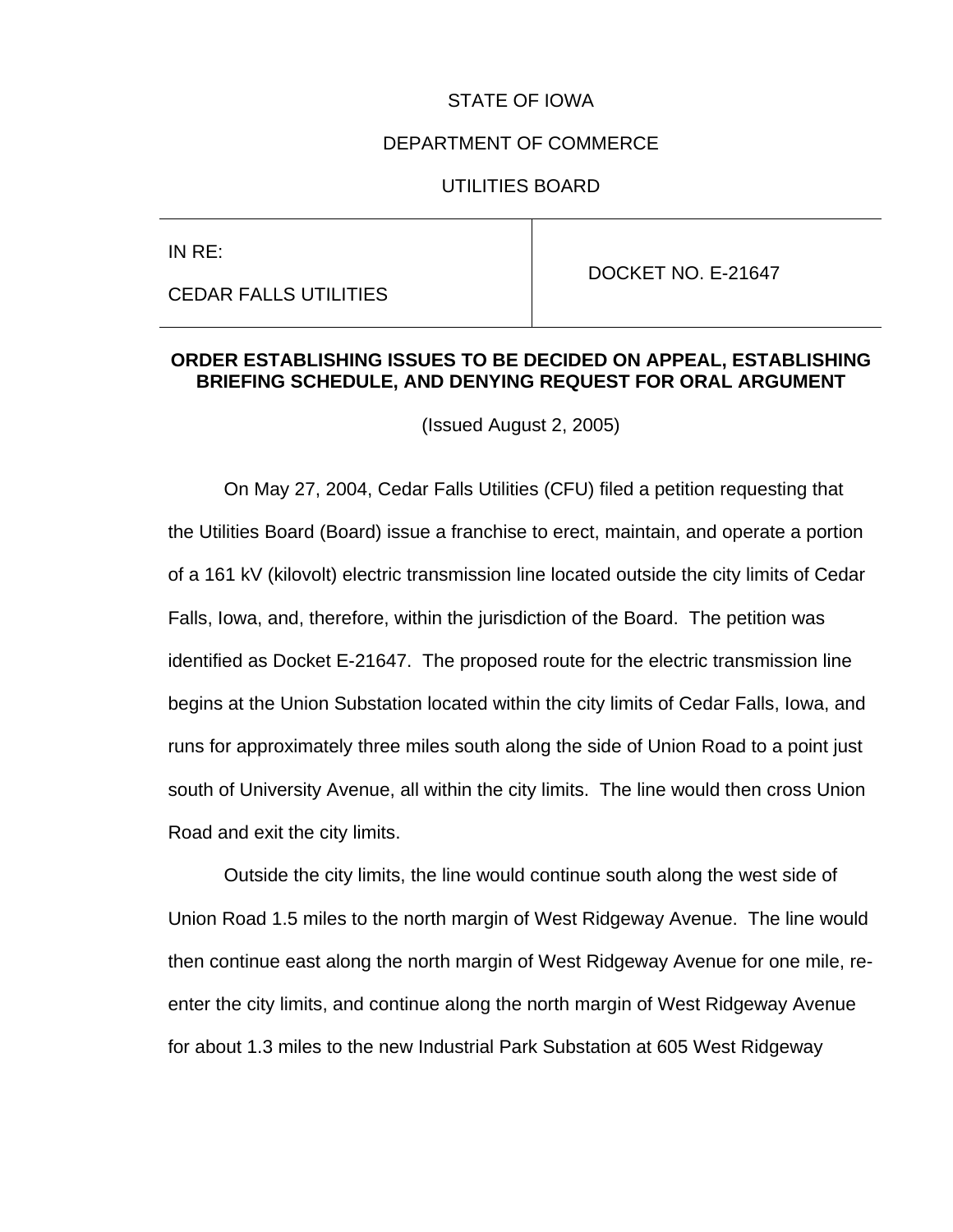#### STATE OF IOWA

#### DEPARTMENT OF COMMERCE

#### UTILITIES BOARD

| IN $RE:$                     |                    |
|------------------------------|--------------------|
|                              | DOCKET NO. E-21647 |
| <b>CEDAR FALLS UTILITIES</b> |                    |

## **ORDER ESTABLISHING ISSUES TO BE DECIDED ON APPEAL, ESTABLISHING BRIEFING SCHEDULE, AND DENYING REQUEST FOR ORAL ARGUMENT**

(Issued August 2, 2005)

On May 27, 2004, Cedar Falls Utilities (CFU) filed a petition requesting that the Utilities Board (Board) issue a franchise to erect, maintain, and operate a portion of a 161 kV (kilovolt) electric transmission line located outside the city limits of Cedar Falls, Iowa, and, therefore, within the jurisdiction of the Board. The petition was identified as Docket E-21647. The proposed route for the electric transmission line begins at the Union Substation located within the city limits of Cedar Falls, Iowa, and runs for approximately three miles south along the side of Union Road to a point just south of University Avenue, all within the city limits. The line would then cross Union Road and exit the city limits.

Outside the city limits, the line would continue south along the west side of Union Road 1.5 miles to the north margin of West Ridgeway Avenue. The line would then continue east along the north margin of West Ridgeway Avenue for one mile, reenter the city limits, and continue along the north margin of West Ridgeway Avenue for about 1.3 miles to the new Industrial Park Substation at 605 West Ridgeway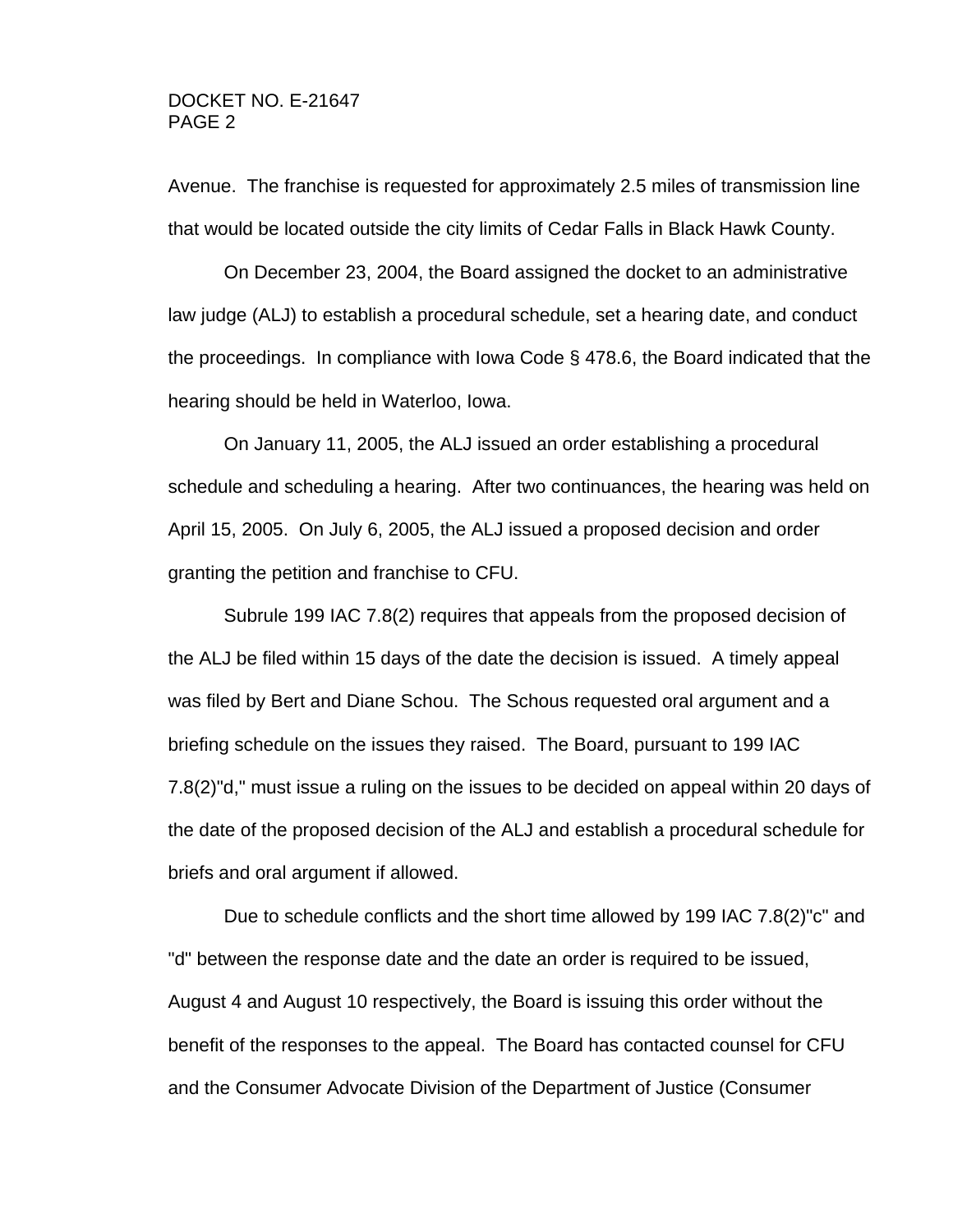Avenue. The franchise is requested for approximately 2.5 miles of transmission line that would be located outside the city limits of Cedar Falls in Black Hawk County.

On December 23, 2004, the Board assigned the docket to an administrative law judge (ALJ) to establish a procedural schedule, set a hearing date, and conduct the proceedings. In compliance with Iowa Code § 478.6, the Board indicated that the hearing should be held in Waterloo, Iowa.

On January 11, 2005, the ALJ issued an order establishing a procedural schedule and scheduling a hearing. After two continuances, the hearing was held on April 15, 2005. On July 6, 2005, the ALJ issued a proposed decision and order granting the petition and franchise to CFU.

Subrule 199 IAC 7.8(2) requires that appeals from the proposed decision of the ALJ be filed within 15 days of the date the decision is issued. A timely appeal was filed by Bert and Diane Schou. The Schous requested oral argument and a briefing schedule on the issues they raised. The Board, pursuant to 199 IAC 7.8(2)"d," must issue a ruling on the issues to be decided on appeal within 20 days of the date of the proposed decision of the ALJ and establish a procedural schedule for briefs and oral argument if allowed.

Due to schedule conflicts and the short time allowed by 199 IAC 7.8(2)"c" and "d" between the response date and the date an order is required to be issued, August 4 and August 10 respectively, the Board is issuing this order without the benefit of the responses to the appeal. The Board has contacted counsel for CFU and the Consumer Advocate Division of the Department of Justice (Consumer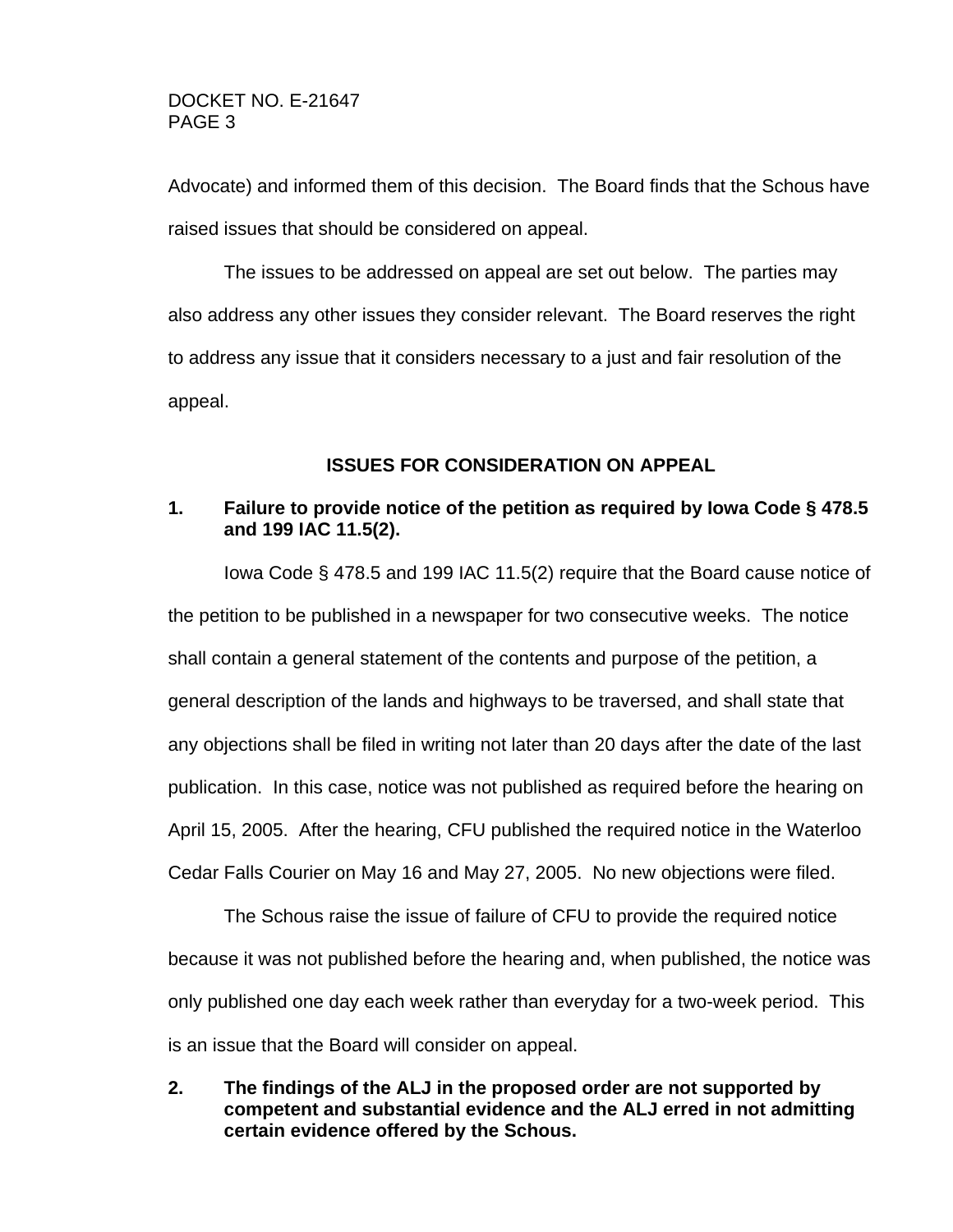Advocate) and informed them of this decision. The Board finds that the Schous have raised issues that should be considered on appeal.

The issues to be addressed on appeal are set out below. The parties may also address any other issues they consider relevant. The Board reserves the right to address any issue that it considers necessary to a just and fair resolution of the appeal.

### **ISSUES FOR CONSIDERATION ON APPEAL**

### **1. Failure to provide notice of the petition as required by Iowa Code § 478.5 and 199 IAC 11.5(2).**

Iowa Code § 478.5 and 199 IAC 11.5(2) require that the Board cause notice of the petition to be published in a newspaper for two consecutive weeks. The notice shall contain a general statement of the contents and purpose of the petition, a general description of the lands and highways to be traversed, and shall state that any objections shall be filed in writing not later than 20 days after the date of the last publication. In this case, notice was not published as required before the hearing on April 15, 2005. After the hearing, CFU published the required notice in the Waterloo Cedar Falls Courier on May 16 and May 27, 2005. No new objections were filed.

The Schous raise the issue of failure of CFU to provide the required notice because it was not published before the hearing and, when published, the notice was only published one day each week rather than everyday for a two-week period. This is an issue that the Board will consider on appeal.

**2. The findings of the ALJ in the proposed order are not supported by competent and substantial evidence and the ALJ erred in not admitting certain evidence offered by the Schous.**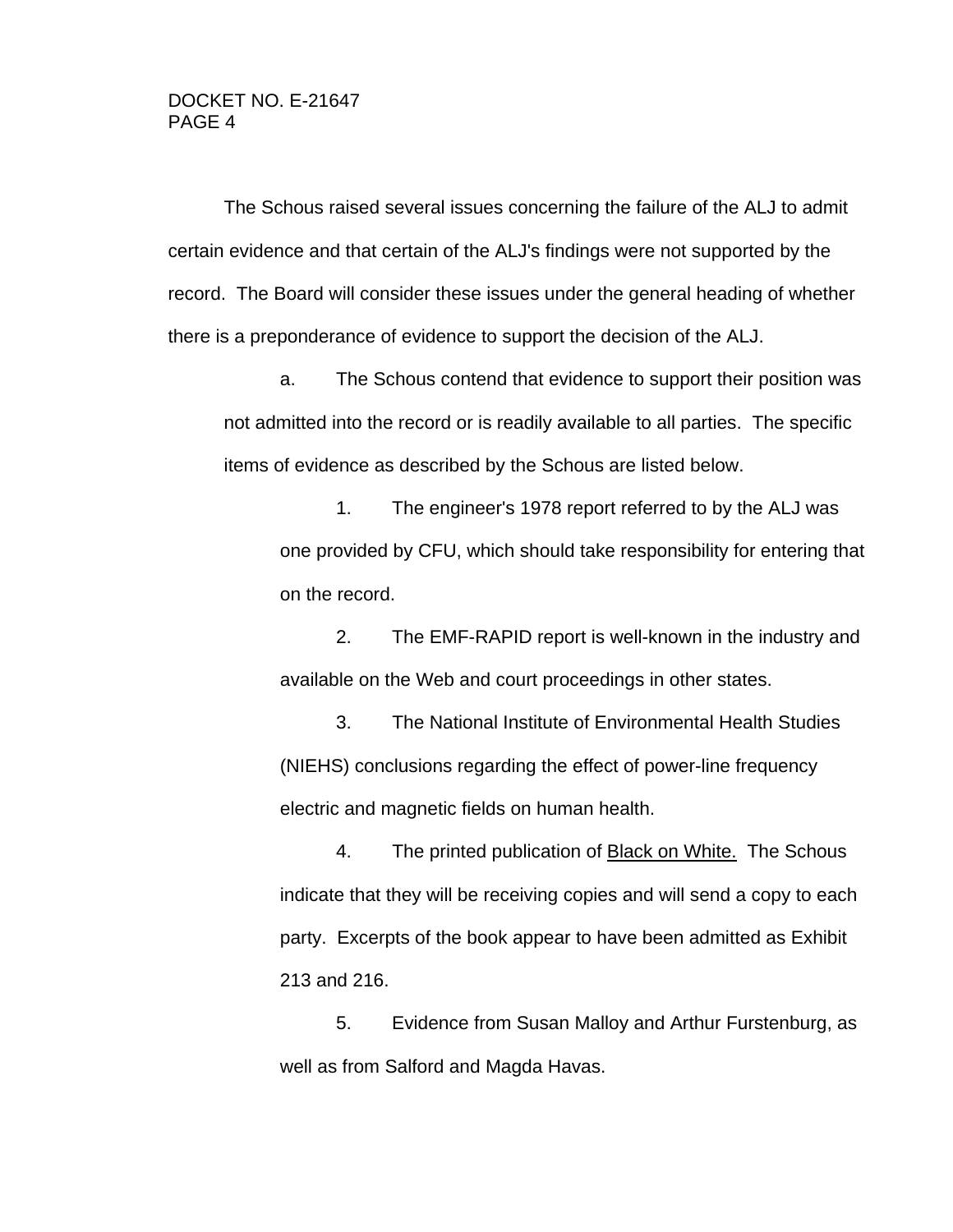The Schous raised several issues concerning the failure of the ALJ to admit certain evidence and that certain of the ALJ's findings were not supported by the record. The Board will consider these issues under the general heading of whether there is a preponderance of evidence to support the decision of the ALJ.

a. The Schous contend that evidence to support their position was not admitted into the record or is readily available to all parties. The specific items of evidence as described by the Schous are listed below.

1. The engineer's 1978 report referred to by the ALJ was one provided by CFU, which should take responsibility for entering that on the record.

2. The EMF-RAPID report is well-known in the industry and available on the Web and court proceedings in other states.

3. The National Institute of Environmental Health Studies (NIEHS) conclusions regarding the effect of power-line frequency electric and magnetic fields on human health.

4. The printed publication of Black on White. The Schous indicate that they will be receiving copies and will send a copy to each party. Excerpts of the book appear to have been admitted as Exhibit 213 and 216.

5. Evidence from Susan Malloy and Arthur Furstenburg, as well as from Salford and Magda Havas.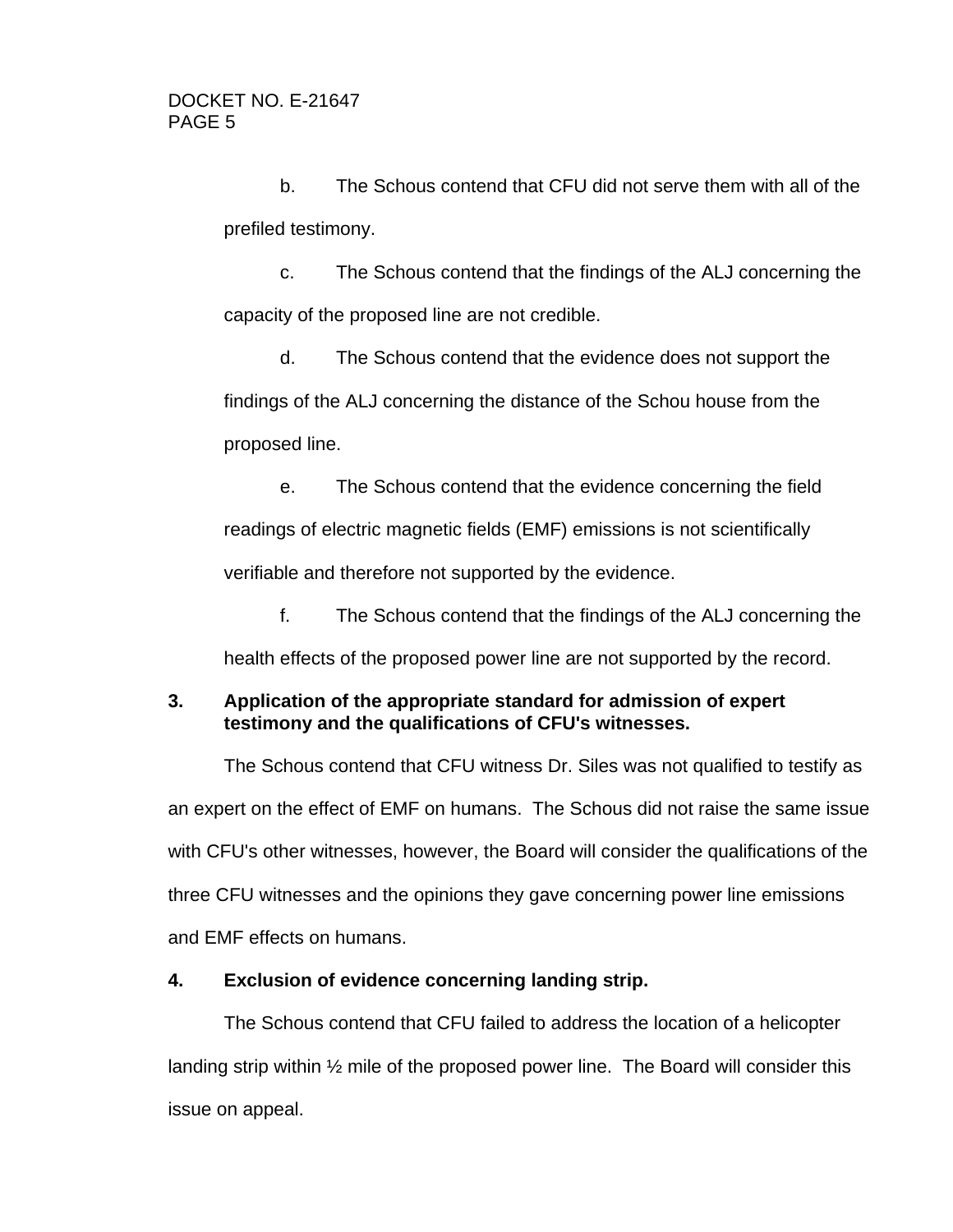b. The Schous contend that CFU did not serve them with all of the prefiled testimony.

c. The Schous contend that the findings of the ALJ concerning the capacity of the proposed line are not credible.

d. The Schous contend that the evidence does not support the findings of the ALJ concerning the distance of the Schou house from the proposed line.

e. The Schous contend that the evidence concerning the field readings of electric magnetic fields (EMF) emissions is not scientifically verifiable and therefore not supported by the evidence.

f. The Schous contend that the findings of the ALJ concerning the health effects of the proposed power line are not supported by the record.

## **3. Application of the appropriate standard for admission of expert testimony and the qualifications of CFU's witnesses.**

The Schous contend that CFU witness Dr. Siles was not qualified to testify as an expert on the effect of EMF on humans. The Schous did not raise the same issue with CFU's other witnesses, however, the Board will consider the qualifications of the three CFU witnesses and the opinions they gave concerning power line emissions and EMF effects on humans.

## **4. Exclusion of evidence concerning landing strip.**

The Schous contend that CFU failed to address the location of a helicopter landing strip within ½ mile of the proposed power line. The Board will consider this issue on appeal.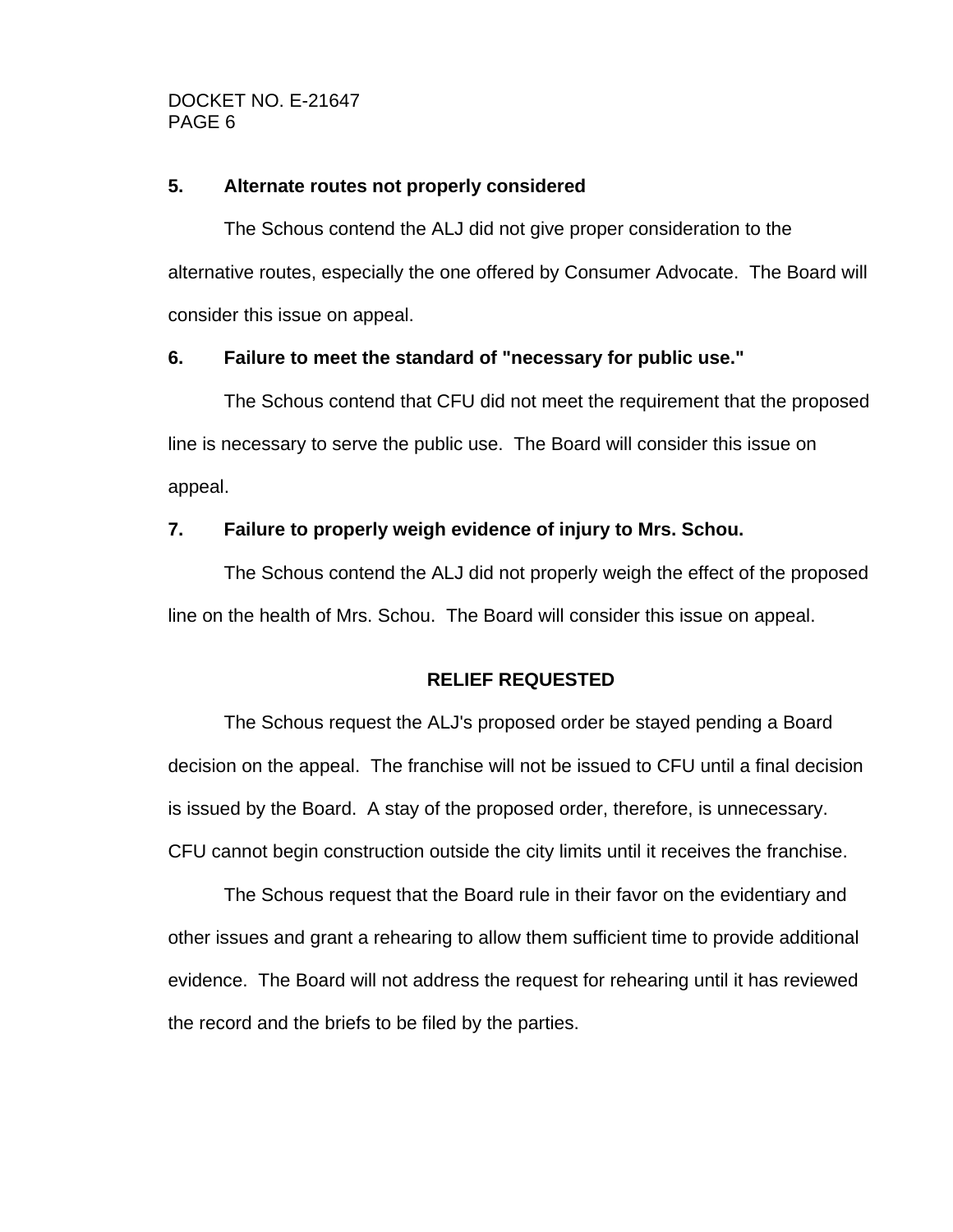## **5. Alternate routes not properly considered**

The Schous contend the ALJ did not give proper consideration to the alternative routes, especially the one offered by Consumer Advocate. The Board will consider this issue on appeal.

## **6. Failure to meet the standard of "necessary for public use."**

The Schous contend that CFU did not meet the requirement that the proposed line is necessary to serve the public use. The Board will consider this issue on appeal.

## **7. Failure to properly weigh evidence of injury to Mrs. Schou.**

The Schous contend the ALJ did not properly weigh the effect of the proposed line on the health of Mrs. Schou. The Board will consider this issue on appeal.

## **RELIEF REQUESTED**

The Schous request the ALJ's proposed order be stayed pending a Board decision on the appeal. The franchise will not be issued to CFU until a final decision is issued by the Board. A stay of the proposed order, therefore, is unnecessary. CFU cannot begin construction outside the city limits until it receives the franchise.

The Schous request that the Board rule in their favor on the evidentiary and other issues and grant a rehearing to allow them sufficient time to provide additional evidence. The Board will not address the request for rehearing until it has reviewed the record and the briefs to be filed by the parties.